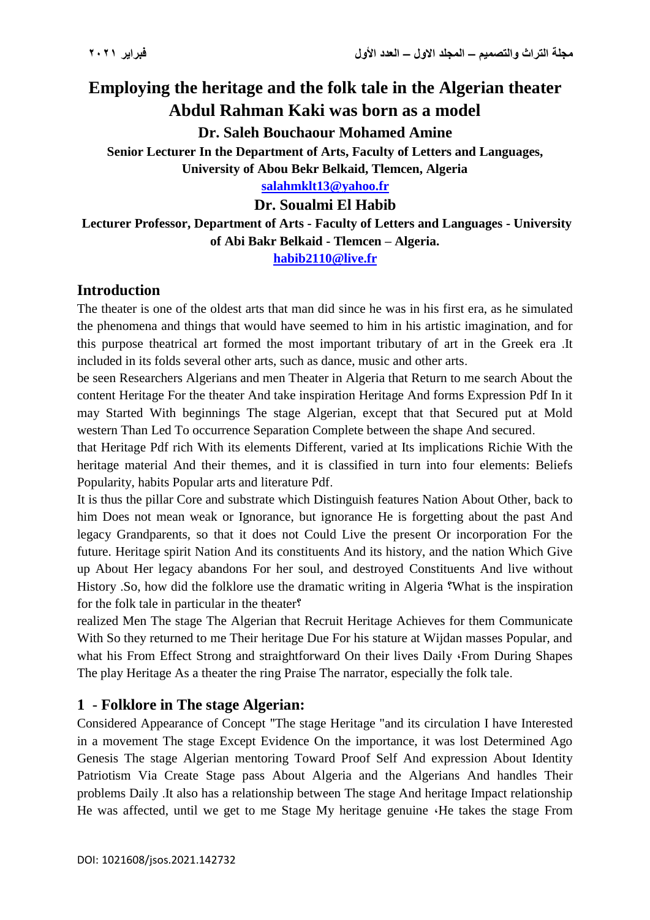# **Employing the heritage and the folk tale in the Algerian theater Abdul Rahman Kaki was born as a model**

**Dr. Saleh Bouchaour Mohamed Amine**

**Senior Lecturer In the Department of Arts, Faculty of Letters and Languages, University of Abou Bekr Belkaid, Tlemcen, Algeria**

**[salahmklt13@yahoo.fr](mailto:salahmklt13@yahoo.fr)**

**Dr. Soualmi El Habib**

**Lecturer Professor, Department of Arts - Faculty of Letters and Languages - University of Abi Bakr Belkaid - Tlemcen – Algeria.**

**[habib2110@live.fr](mailto:habib2110@live.fr)**

## **Introduction**

The theater is one of the oldest arts that man did since he was in his first era, as he simulated the phenomena and things that would have seemed to him in his artistic imagination, and for this purpose theatrical art formed the most important tributary of art in the Greek era .It included in its folds several other arts, such as dance, music and other arts.

be seen Researchers Algerians and men Theater in Algeria that Return to me search About the content Heritage For the theater And take inspiration Heritage And forms Expression Pdf In it may Started With beginnings The stage Algerian, except that that Secured put at Mold western Than Led To occurrence Separation Complete between the shape And secured.

that Heritage Pdf rich With its elements Different, varied at Its implications Richie With the heritage material And their themes, and it is classified in turn into four elements: Beliefs Popularity, habits Popular arts and literature Pdf.

It is thus the pillar Core and substrate which Distinguish features Nation About Other, back to him Does not mean weak or Ignorance, but ignorance He is forgetting about the past And legacy Grandparents, so that it does not Could Live the present Or incorporation For the future. Heritage spirit Nation And its constituents And its history, and the nation Which Give up About Her legacy abandons For her soul, and destroyed Constituents And live without History .So, how did the folklore use the dramatic writing in Algeria ?What is the inspiration for the folk tale in particular in the theater?

realized Men The stage The Algerian that Recruit Heritage Achieves for them Communicate With So they returned to me Their heritage Due For his stature at Wijdan masses Popular, and what his From Effect Strong and straightforward On their lives Daily  $\cdot$  From During Shapes The play Heritage As a theater the ring Praise The narrator, especially the folk tale.

## **1** - **Folklore in The stage Algerian:**

Considered Appearance of Concept "The stage Heritage "and its circulation I have Interested in a movement The stage Except Evidence On the importance, it was lost Determined Ago Genesis The stage Algerian mentoring Toward Proof Self And expression About Identity Patriotism Via Create Stage pass About Algeria and the Algerians And handles Their problems Daily .It also has a relationship between The stage And heritage Impact relationship He was affected, until we get to me Stage My heritage genuine  $\cdot$ He takes the stage From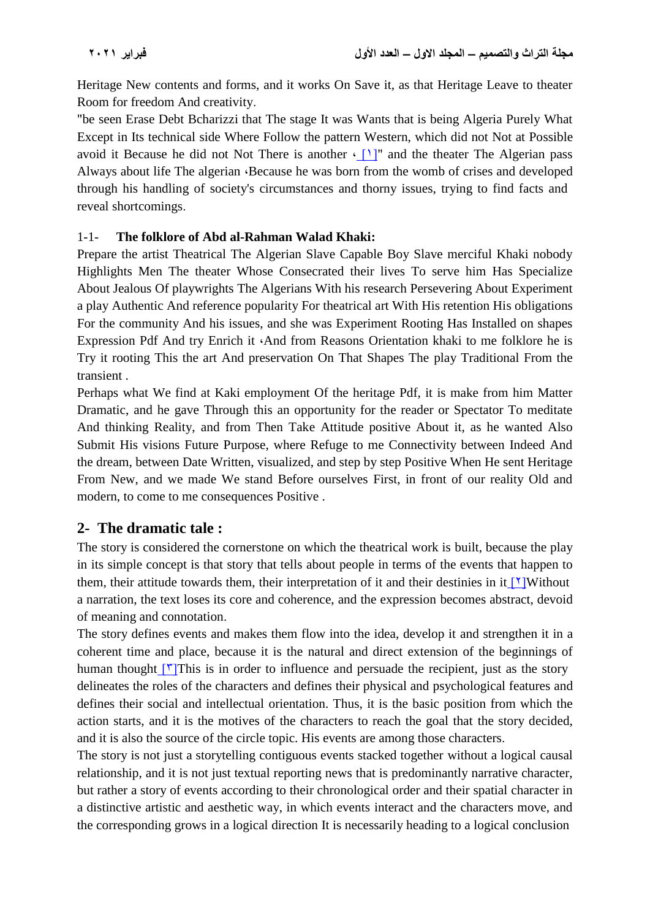Heritage New contents and forms, and it works On Save it, as that Heritage Leave to theater Room for freedom And creativity.

"be seen Erase Debt Bcharizzi that The stage It was Wants that is being Algeria Purely What Except in Its technical side Where Follow the pattern Western, which did not Not at Possible avoid it Because he did not Not There is another  $\cdot$  [1]" and the theater The Algerian pass Always about life The algerian  $\cdot$ Because he was born from the womb of crises and developed through his handling of society's circumstances and thorny issues, trying to find facts and reveal shortcomings.

## 1-1- **The folklore of Abd al-Rahman Walad Khaki:**

Prepare the artist Theatrical The Algerian Slave Capable Boy Slave merciful Khaki nobody Highlights Men The theater Whose Consecrated their lives To serve him Has Specialize About Jealous Of playwrights The Algerians With his research Persevering About Experiment a play Authentic And reference popularity For theatrical art With His retention His obligations For the community And his issues, and she was Experiment Rooting Has Installed on shapes Expression Pdf And try Enrich it  $\Delta$  and from Reasons Orientation khaki to me folklore he is Try it rooting This the art And preservation On That Shapes The play Traditional From the transient .

Perhaps what We find at Kaki employment Of the heritage Pdf, it is make from him Matter Dramatic, and he gave Through this an opportunity for the reader or Spectator To meditate And thinking Reality, and from Then Take Attitude positive About it, as he wanted Also Submit His visions Future Purpose, where Refuge to me Connectivity between Indeed And the dream, between Date Written, visualized, and step by step Positive When He sent Heritage From New, and we made We stand Before ourselves First, in front of our reality Old and modern, to come to me consequences Positive .

# **2- The dramatic tale :**

The story is considered the cornerstone on which the theatrical work is built, because the play in its simple concept is that story that tells about people in terms of the events that happen to them, their attitude towards them, their interpretation of it and their destinies in it  $[1]$ Without a narration, the text loses its core and coherence, and the expression becomes abstract, devoid of meaning and connotation.

The story defines events and makes them flow into the idea, develop it and strengthen it in a coherent time and place, because it is the natural and direct extension of the beginnings of human thought  $\lceil \mathbf{v} \rceil$ This is in order to influence and persuade the recipient, just as the story delineates the roles of the characters and defines their physical and psychological features and defines their social and intellectual orientation. Thus, it is the basic position from which the action starts, and it is the motives of the characters to reach the goal that the story decided, and it is also the source of the circle topic. His events are among those characters.

The story is not just a storytelling contiguous events stacked together without a logical causal relationship, and it is not just textual reporting news that is predominantly narrative character, but rather a story of events according to their chronological order and their spatial character in a distinctive artistic and aesthetic way, in which events interact and the characters move, and the corresponding grows in a logical direction It is necessarily heading to a logical conclusion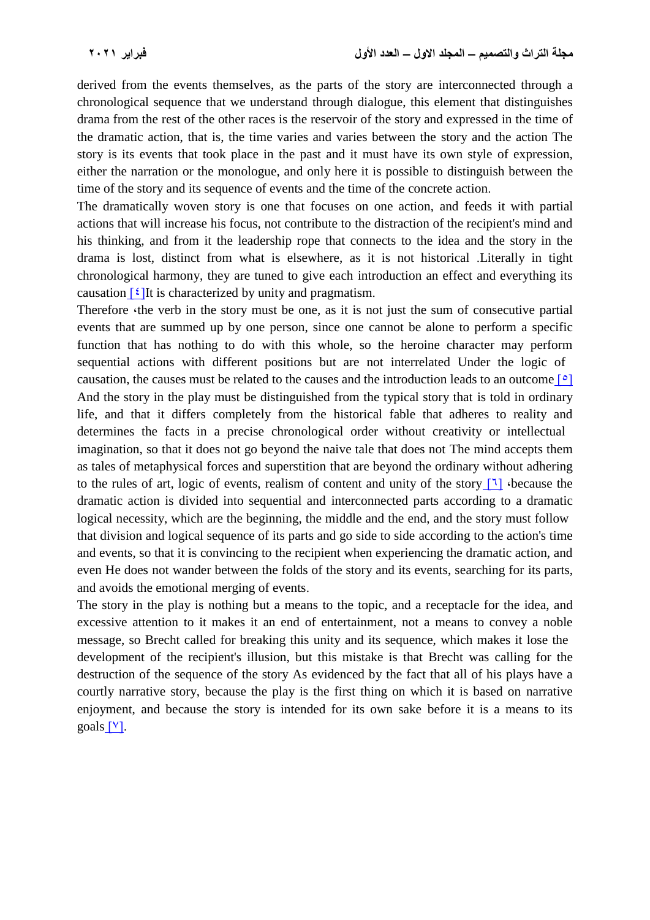derived from the events themselves, as the parts of the story are interconnected through a chronological sequence that we understand through dialogue, this element that distinguishes drama from the rest of the other races is the reservoir of the story and expressed in the time of the dramatic action, that is, the time varies and varies between the story and the action The story is its events that took place in the past and it must have its own style of expression, either the narration or the monologue, and only here it is possible to distinguish between the time of the story and its sequence of events and the time of the concrete action.

The dramatically woven story is one that focuses on one action, and feeds it with partial actions that will increase his focus, not contribute to the distraction of the recipient's mind and his thinking, and from it the leadership rope that connects to the idea and the story in the drama is lost, distinct from what is elsewhere, as it is not historical .Literally in tight chronological harmony, they are tuned to give each introduction an effect and everything its causation  $\lceil \frac{\xi}{\xi} \rceil$  is characterized by unity and pragmatism.

Therefore *the verb* in the story must be one, as it is not just the sum of consecutive partial events that are summed up by one person, since one cannot be alone to perform a specific function that has nothing to do with this whole, so the heroine character may perform sequential actions with different positions but are not interrelated Under the logic of causation, the causes must be related to the causes and the introduction leads to an outcome  $\lceil \circ \rceil$ And the story in the play must be distinguished from the typical story that is told in ordinary life, and that it differs completely from the historical fable that adheres to reality and determines the facts in a precise chronological order without creativity or intellectual imagination, so that it does not go beyond the naive tale that does not The mind accepts them as tales of metaphysical forces and superstition that are beyond the ordinary without adhering to the rules of art, logic of events, realism of content and unity of the story  $\lceil \cdot \rceil$  because the dramatic action is divided into sequential and interconnected parts according to a dramatic logical necessity, which are the beginning, the middle and the end, and the story must follow that division and logical sequence of its parts and go side to side according to the action's time and events, so that it is convincing to the recipient when experiencing the dramatic action, and even He does not wander between the folds of the story and its events, searching for its parts, and avoids the emotional merging of events.

The story in the play is nothing but a means to the topic, and a receptacle for the idea, and excessive attention to it makes it an end of entertainment, not a means to convey a noble message, so Brecht called for breaking this unity and its sequence, which makes it lose the development of the recipient's illusion, but this mistake is that Brecht was calling for the destruction of the sequence of the story As evidenced by the fact that all of his plays have a courtly narrative story, because the play is the first thing on which it is based on narrative enjoyment, and because the story is intended for its own sake before it is a means to its goals  $[V]$ .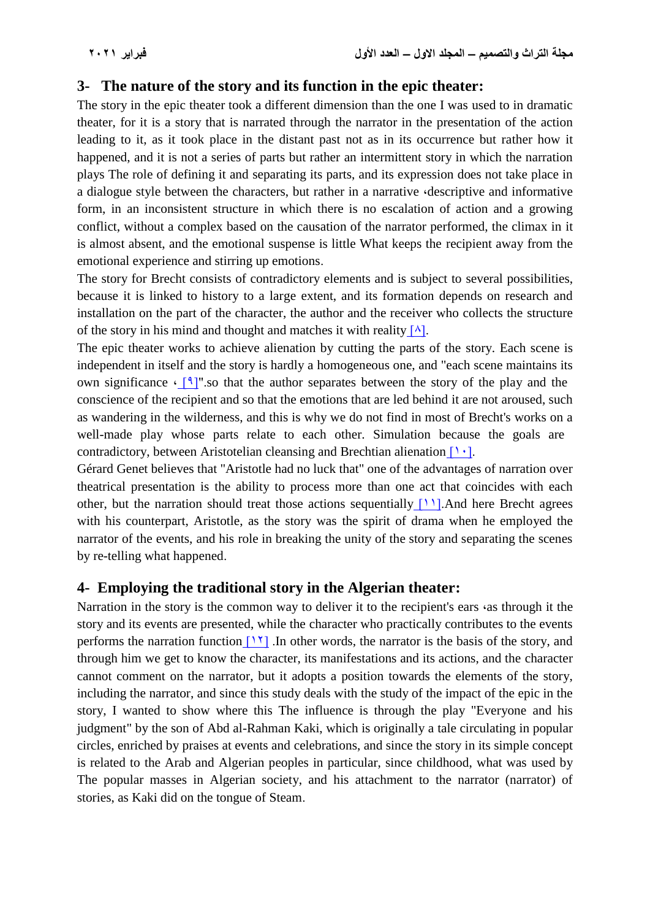## **3- The nature of the story and its function in the epic theater:**

The story in the epic theater took a different dimension than the one I was used to in dramatic theater, for it is a story that is narrated through the narrator in the presentation of the action leading to it, as it took place in the distant past not as in its occurrence but rather how it happened, and it is not a series of parts but rather an intermittent story in which the narration plays The role of defining it and separating its parts, and its expression does not take place in a dialogue style between the characters, but rather in a narrative  $\alpha$  descriptive and informative form, in an inconsistent structure in which there is no escalation of action and a growing conflict, without a complex based on the causation of the narrator performed, the climax in it is almost absent, and the emotional suspense is little What keeps the recipient away from the emotional experience and stirring up emotions.

The story for Brecht consists of contradictory elements and is subject to several possibilities, because it is linked to history to a large extent, and its formation depends on research and installation on the part of the character, the author and the receiver who collects the structure of the story in his mind and thought and matches it with reality  $[\lambda]$ .

The epic theater works to achieve alienation by cutting the parts of the story. Each scene is independent in itself and the story is hardly a homogeneous one, and "each scene maintains its own significance  $\cdot$  [9]" so that the author separates between the story of the play and the conscience of the recipient and so that the emotions that are led behind it are not aroused, such as wandering in the wilderness, and this is why we do not find in most of Brecht's works on a well-made play whose parts relate to each other. Simulation because the goals are contradictory, between Aristotelian cleansing and Brechtian alienation  $[1, 1]$ .

Gérard Genet believes that "Aristotle had no luck that" one of the advantages of narration over theatrical presentation is the ability to process more than one act that coincides with each other, but the narration should treat those actions sequentially  $[11]$ . And here Brecht agrees with his counterpart, Aristotle, as the story was the spirit of drama when he employed the narrator of the events, and his role in breaking the unity of the story and separating the scenes by re-telling what happened.

## **4- Employing the traditional story in the Algerian theater:**

Narration in the story is the common way to deliver it to the recipient's ears  $\alpha$  as through it the story and its events are presented, while the character who practically contributes to the events performs the narration function  $[11]$ . In other words, the narrator is the basis of the story, and through him we get to know the character, its manifestations and its actions, and the character cannot comment on the narrator, but it adopts a position towards the elements of the story, including the narrator, and since this study deals with the study of the impact of the epic in the story, I wanted to show where this The influence is through the play "Everyone and his judgment" by the son of Abd al-Rahman Kaki, which is originally a tale circulating in popular circles, enriched by praises at events and celebrations, and since the story in its simple concept is related to the Arab and Algerian peoples in particular, since childhood, what was used by The popular masses in Algerian society, and his attachment to the narrator (narrator) of stories, as Kaki did on the tongue of Steam.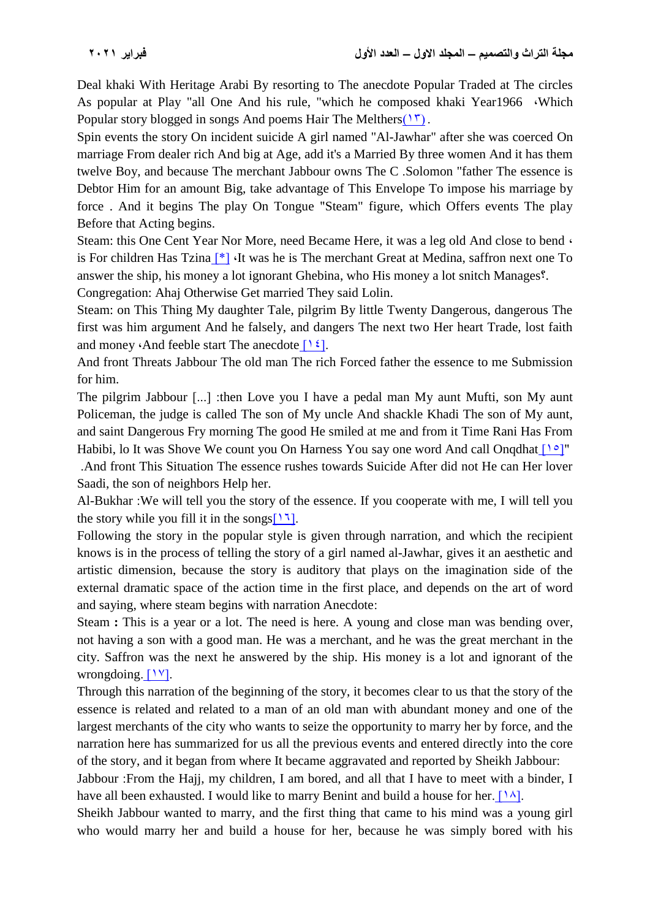Deal khaki With Heritage Arabi By resorting to The anecdote Popular Traded at The circles As popular at Play "all One And his rule, "which he composed khaki Year1966 , Which Popular story blogged in songs And poems Hair The Melthers $(1\tilde{r})$ .

Spin events the story On incident suicide A girl named "Al-Jawhar" after she was coerced On marriage From dealer rich And big at Age, add it's a Married By three women And it has them twelve Boy, and because The merchant Jabbour owns The C .Solomon "father The essence is Debtor Him for an amount Big, take advantage of This Envelope To impose his marriage by force . And it begins The play On Tongue "Steam" figure, which Offers events The play Before that Acting begins.

Steam: this One Cent Year Nor More, need Became Here, it was a leg old And close to bend  $\cdot$ is For children Has Tzina  $[*]$  It was he is The merchant Great at Medina, saffron next one To answer the ship, his money a lot ignorant Ghebina, who His money a lot snitch Manages?.

Congregation: Ahaj Otherwise Get married They said Lolin.

Steam: on This Thing My daughter Tale, pilgrim By little Twenty Dangerous, dangerous The first was him argument And he falsely, and dangers The next two Her heart Trade, lost faith and money  $\cdot$ And feeble start The anecdote  $[1 \, \xi]$ .

And front Threats Jabbour The old man The rich Forced father the essence to me Submission for him.

The pilgrim Jabbour [...] :then Love you I have a pedal man My aunt Mufti, son My aunt Policeman, the judge is called The son of My uncle And shackle Khadi The son of My aunt, and saint Dangerous Fry morning The good He smiled at me and from it Time Rani Has From Habibi, lo It was Shove We count you On Harness You say one word And call Ongdhat  $[1 \circ ]"$ 

 .And front This Situation The essence rushes towards Suicide After did not He can Her lover Saadi, the son of neighbors Help her.

Al-Bukhar :We will tell you the story of the essence. If you cooperate with me, I will tell you the story while you fill it in the songs[ $17$ ].

Following the story in the popular style is given through narration, and which the recipient knows is in the process of telling the story of a girl named al-Jawhar, gives it an aesthetic and artistic dimension, because the story is auditory that plays on the imagination side of the external dramatic space of the action time in the first place, and depends on the art of word and saying, where steam begins with narration Anecdote:

Steam **:** This is a year or a lot. The need is here. A young and close man was bending over, not having a son with a good man. He was a merchant, and he was the great merchant in the city. Saffron was the next he answered by the ship. His money is a lot and ignorant of the wrongdoing.  $[1 \text{y}].$ 

Through this narration of the beginning of the story, it becomes clear to us that the story of the essence is related and related to a man of an old man with abundant money and one of the largest merchants of the city who wants to seize the opportunity to marry her by force, and the narration here has summarized for us all the previous events and entered directly into the core of the story, and it began from where It became aggravated and reported by Sheikh Jabbour:

Jabbour :From the Hajj, my children, I am bored, and all that I have to meet with a binder, I have all been exhausted. I would like to marry Benint and build a house for her. [ $1\lambda$ ].

Sheikh Jabbour wanted to marry, and the first thing that came to his mind was a young girl who would marry her and build a house for her, because he was simply bored with his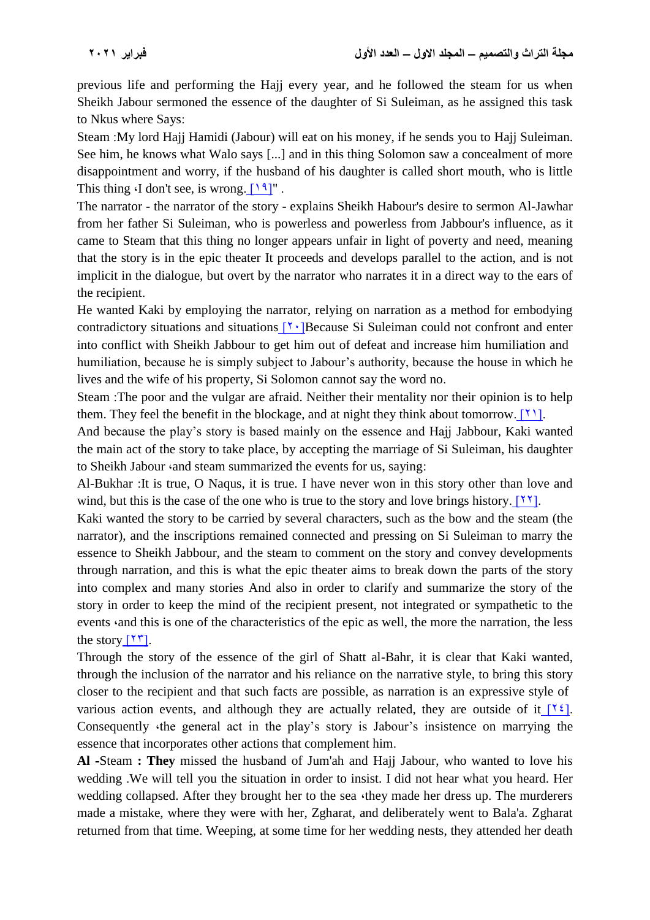previous life and performing the Hajj every year, and he followed the steam for us when Sheikh Jabour sermoned the essence of the daughter of Si Suleiman, as he assigned this task to Nkus where Says:

Steam :My lord Hajj Hamidi (Jabour) will eat on his money, if he sends you to Hajj Suleiman. See him, he knows what Walo says [...] and in this thing Solomon saw a concealment of more disappointment and worry, if the husband of his daughter is called short mouth, who is little This thing  $\cdot$ I don't see, is wrong.  $[19]$ ".

The narrator - the narrator of the story - explains Sheikh Habour's desire to sermon Al-Jawhar from her father Si Suleiman, who is powerless and powerless from Jabbour's influence, as it came to Steam that this thing no longer appears unfair in light of poverty and need, meaning that the story is in the epic theater It proceeds and develops parallel to the action, and is not implicit in the dialogue, but overt by the narrator who narrates it in a direct way to the ears of the recipient.

He wanted Kaki by employing the narrator, relying on narration as a method for embodying contradictory situations and situations  $[1]$ <sup>1</sup>. Because Si Suleiman could not confront and enter into conflict with Sheikh Jabbour to get him out of defeat and increase him humiliation and humiliation, because he is simply subject to Jabour's authority, because the house in which he lives and the wife of his property, Si Solomon cannot say the word no.

Steam :The poor and the vulgar are afraid. Neither their mentality nor their opinion is to help them. They feel the benefit in the blockage, and at night they think about tomorrow. [ $\{1\}$ ].

And because the play's story is based mainly on the essence and Hajj Jabbour, Kaki wanted the main act of the story to take place, by accepting the marriage of Si Suleiman, his daughter to Sheikh Jabour  $\cdot$  and steam summarized the events for us, saying:

Al-Bukhar :It is true, O Naqus, it is true. I have never won in this story other than love and wind, but this is the case of the one who is true to the story and love brings history. [ $\gamma$ ].

Kaki wanted the story to be carried by several characters, such as the bow and the steam (the narrator), and the inscriptions remained connected and pressing on Si Suleiman to marry the essence to Sheikh Jabbour, and the steam to comment on the story and convey developments through narration, and this is what the epic theater aims to break down the parts of the story into complex and many stories And also in order to clarify and summarize the story of the story in order to keep the mind of the recipient present, not integrated or sympathetic to the events and this is one of the characteristics of the epic as well, the more the narration, the less the story  $[11]$ .

Through the story of the essence of the girl of Shatt al-Bahr, it is clear that Kaki wanted, through the inclusion of the narrator and his reliance on the narrative style, to bring this story closer to the recipient and that such facts are possible, as narration is an expressive style of various action events, and although they are actually related, they are outside of it  $\lceil \frac{\gamma \xi}{2} \rceil$ . Consequently *the general act in the play's story is Jabour's insistence on marrying the* essence that incorporates other actions that complement him.

**Al -**Steam **: They** missed the husband of Jum'ah and Hajj Jabour, who wanted to love his wedding .We will tell you the situation in order to insist. I did not hear what you heard. Her wedding collapsed. After they brought her to the sea  $\cdot$ they made her dress up. The murderers made a mistake, where they were with her, Zgharat, and deliberately went to Bala'a. Zgharat returned from that time. Weeping, at some time for her wedding nests, they attended her death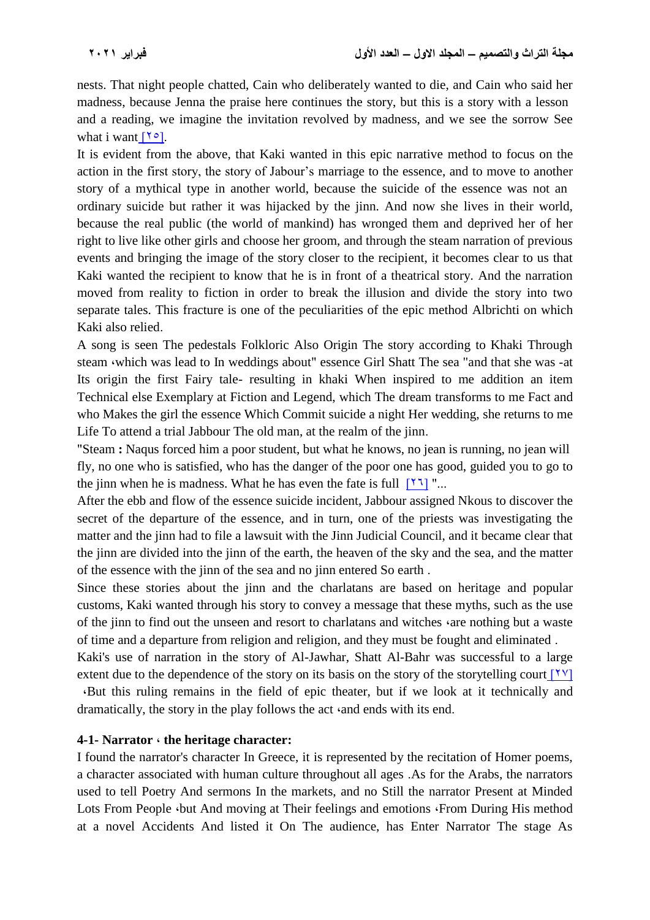nests. That night people chatted, Cain who deliberately wanted to die, and Cain who said her madness, because Jenna the praise here continues the story, but this is a story with a lesson and a reading, we imagine the invitation revolved by madness, and we see the sorrow See what i want  $[10]$ .

It is evident from the above, that Kaki wanted in this epic narrative method to focus on the action in the first story, the story of Jabour's marriage to the essence, and to move to another story of a mythical type in another world, because the suicide of the essence was not an ordinary suicide but rather it was hijacked by the jinn. And now she lives in their world, because the real public (the world of mankind) has wronged them and deprived her of her right to live like other girls and choose her groom, and through the steam narration of previous events and bringing the image of the story closer to the recipient, it becomes clear to us that Kaki wanted the recipient to know that he is in front of a theatrical story. And the narration moved from reality to fiction in order to break the illusion and divide the story into two separate tales. This fracture is one of the peculiarities of the epic method Albrichti on which Kaki also relied.

A song is seen The pedestals Folkloric Also Origin The story according to Khaki Through steam which was lead to In weddings about" essence Girl Shatt The sea "and that she was -at Its origin the first Fairy tale- resulting in khaki When inspired to me addition an item Technical else Exemplary at Fiction and Legend, which The dream transforms to me Fact and who Makes the girl the essence Which Commit suicide a night Her wedding, she returns to me Life To attend a trial Jabbour The old man, at the realm of the jinn.

"Steam **:** Naqus forced him a poor student, but what he knows, no jean is running, no jean will fly, no one who is satisfied, who has the danger of the poor one has good, guided you to go to the jinn when he is madness. What he has even the fate is full  $[1, 2]$  "...

After the ebb and flow of the essence suicide incident, Jabbour assigned Nkous to discover the secret of the departure of the essence, and in turn, one of the priests was investigating the matter and the jinn had to file a lawsuit with the Jinn Judicial Council, and it became clear that the jinn are divided into the jinn of the earth, the heaven of the sky and the sea, and the matter of the essence with the jinn of the sea and no jinn entered So earth .

Since these stories about the jinn and the charlatans are based on heritage and popular customs, Kaki wanted through his story to convey a message that these myths, such as the use of the jinn to find out the unseen and resort to charlatans and witches *are nothing but a waste* of time and a departure from religion and religion, and they must be fought and eliminated .

Kaki's use of narration in the story of Al-Jawhar, Shatt Al-Bahr was successful to a large extent due to the dependence of the story on its basis on the story of the storytelling court  $[1 \text{y}]$ ,But this ruling remains in the field of epic theater, but if we look at it technically and dramatically, the story in the play follows the act  $\cdot$  and ends with its end.

#### **4-1- Narrator , the heritage character:**

I found the narrator's character In Greece, it is represented by the recitation of Homer poems, a character associated with human culture throughout all ages .As for the Arabs, the narrators used to tell Poetry And sermons In the markets, and no Still the narrator Present at Minded Lots From People  $\cdot$ but And moving at Their feelings and emotions  $\cdot$  From During His method at a novel Accidents And listed it On The audience, has Enter Narrator The stage As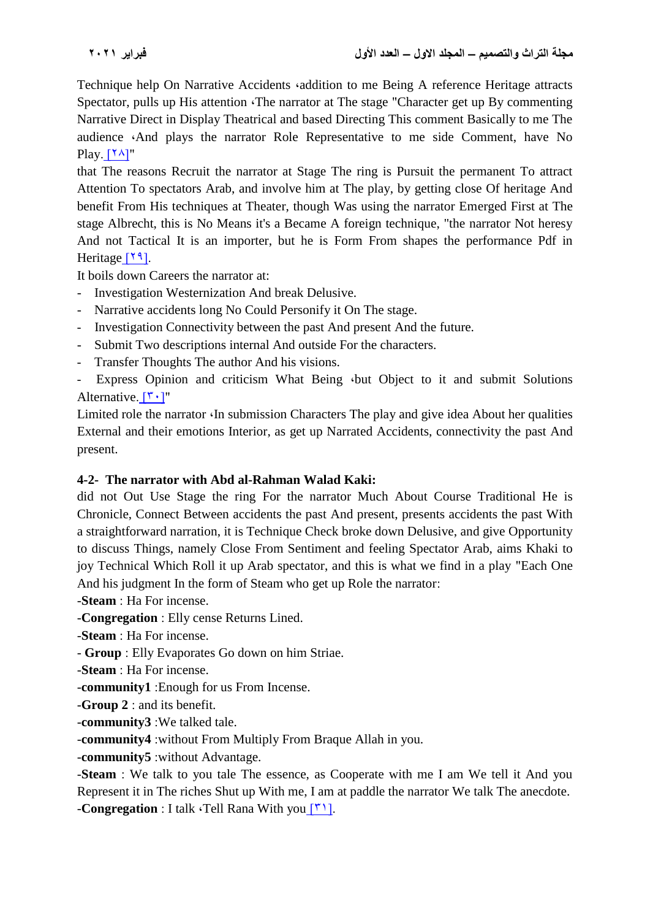Technique help On Narrative Accidents *addition* to me Being A reference Heritage attracts Spectator, pulls up His attention The narrator at The stage "Character get up By commenting Narrative Direct in Display Theatrical and based Directing This comment Basically to me The audience ,And plays the narrator Role Representative to me side Comment, have No Play.  $[Y^{\lambda}]''$ 

that The reasons Recruit the narrator at Stage The ring is Pursuit the permanent To attract Attention To spectators Arab, and involve him at The play, by getting close Of heritage And benefit From His techniques at Theater, though Was using the narrator Emerged First at The stage Albrecht, this is No Means it's a Became A foreign technique, "the narrator Not heresy And not Tactical It is an importer, but he is Form From shapes the performance Pdf in Heritage [19].

It boils down Careers the narrator at:

- Investigation Westernization And break Delusive.
- Narrative accidents long No Could Personify it On The stage.
- Investigation Connectivity between the past And present And the future.
- Submit Two descriptions internal And outside For the characters.
- Transfer Thoughts The author And his visions.

Express Opinion and criticism What Being  $\cdot$ but Object to it and submit Solutions Alternative.  $[1, 1]$ "

Limited role the narrator  $\Phi$  in submission Characters The play and give idea About her qualities External and their emotions Interior, as get up Narrated Accidents, connectivity the past And present.

#### **4-2- The narrator with Abd al-Rahman Walad Kaki:**

did not Out Use Stage the ring For the narrator Much About Course Traditional He is Chronicle, Connect Between accidents the past And present, presents accidents the past With a straightforward narration, it is Technique Check broke down Delusive, and give Opportunity to discuss Things, namely Close From Sentiment and feeling Spectator Arab, aims Khaki to joy Technical Which Roll it up Arab spectator, and this is what we find in a play "Each One And his judgment In the form of Steam who get up Role the narrator:

-**Steam** : Ha For incense.

-**Congregation** : Elly cense Returns Lined.

-**Steam** : Ha For incense.

- **Group** : Elly Evaporates Go down on him Striae.
- -**Steam** : Ha For incense.
- -**community1** :Enough for us From Incense.

-**Group 2** : and its benefit.

-**community3** :We talked tale.

-**community4** :without From Multiply From Braque Allah in you.

-**community5** :without Advantage.

-**Steam** : We talk to you tale The essence, as Cooperate with me I am We tell it And you Represent it in The riches Shut up With me, I am at paddle the narrator We talk The anecdote.

**-Congregation** : I talk  $\cdot$ Tell Rana With you  $\lceil \cdot \cdot \rceil$ .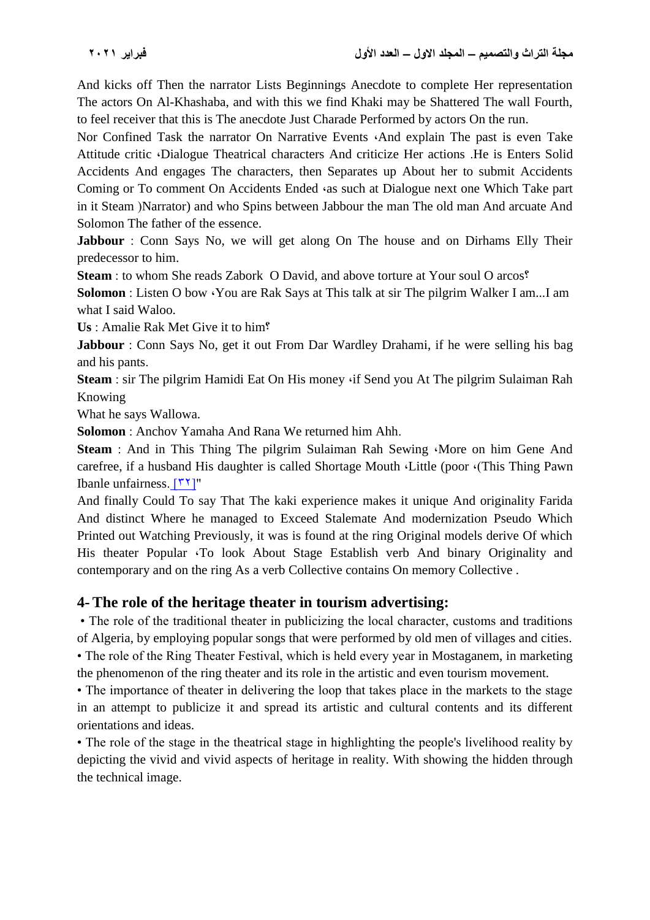And kicks off Then the narrator Lists Beginnings Anecdote to complete Her representation The actors On Al-Khashaba, and with this we find Khaki may be Shattered The wall Fourth, to feel receiver that this is The anecdote Just Charade Performed by actors On the run.

Nor Confined Task the narrator On Narrative Events  $\Delta$ -And explain The past is even Take Attitude critic (Dialogue Theatrical characters And criticize Her actions .He is Enters Solid Accidents And engages The characters, then Separates up About her to submit Accidents Coming or To comment On Accidents Ended  $\alpha$  as such at Dialogue next one Which Take part in it Steam (Narrator) and who Spins between Jabbour the man The old man And arcuate And Solomon The father of the essence.

**Jabbour** : Conn Says No, we will get along On The house and on Dirhams Elly Their predecessor to him.

**Steam** : to whom She reads Zabork O David, and above torture at Your soul O arcos?

**Solomon** : Listen O bow You are Rak Says at This talk at sir The pilgrim Walker I am...I am what I said Waloo.

**Us** : Amalie Rak Met Give it to him?

**Jabbour** : Conn Says No, get it out From Dar Wardley Drahami, if he were selling his bag and his pants.

**Steam** : sir The pilgrim Hamidi Eat On His money *if Send you At The pilgrim Sulaiman Rah* Knowing

What he says Wallowa.

**Solomon** : Anchov Yamaha And Rana We returned him Ahh.

**Steam** : And in This Thing The pilgrim Sulaiman Rah Sewing More on him Gene And carefree, if a husband His daughter is called Shortage Mouth (Little (poor (This Thing Pawn) Ibanle unfairness.  $[17]''$ 

And finally Could To say That The kaki experience makes it unique And originality Farida And distinct Where he managed to Exceed Stalemate And modernization Pseudo Which Printed out Watching Previously, it was is found at the ring Original models derive Of which His theater Popular 'To look About Stage Establish verb And binary Originality and contemporary and on the ring As a verb Collective contains On memory Collective .

# **4- The role of the heritage theater in tourism advertising:**

• The role of the traditional theater in publicizing the local character, customs and traditions of Algeria, by employing popular songs that were performed by old men of villages and cities. • The role of the Ring Theater Festival, which is held every year in Mostaganem, in marketing

the phenomenon of the ring theater and its role in the artistic and even tourism movement.

• The importance of theater in delivering the loop that takes place in the markets to the stage in an attempt to publicize it and spread its artistic and cultural contents and its different orientations and ideas.

• The role of the stage in the theatrical stage in highlighting the people's livelihood reality by depicting the vivid and vivid aspects of heritage in reality. With showing the hidden through the technical image.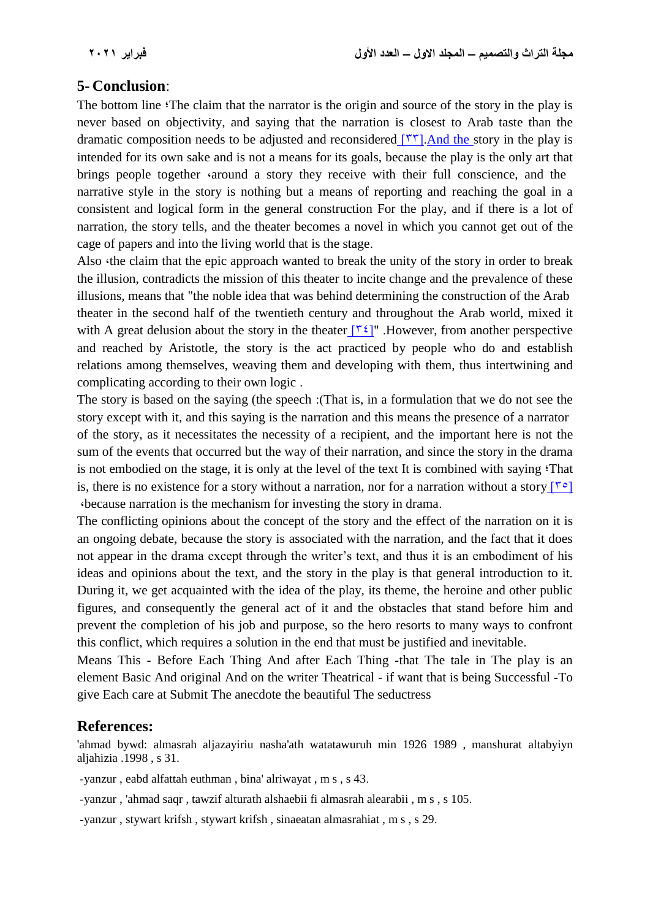## **5- Conclusion**:

The bottom line ;The claim that the narrator is the origin and source of the story in the play is never based on objectivity, and saying that the narration is closest to Arab taste than the dramatic composition needs to be adjusted and reconsidered  $\lceil \nabla \cdot \nabla \rceil$ . And the story in the play is intended for its own sake and is not a means for its goals, because the play is the only art that brings people together *around a story they receive with their full conscience*, and the narrative style in the story is nothing but a means of reporting and reaching the goal in a consistent and logical form in the general construction For the play, and if there is a lot of narration, the story tells, and the theater becomes a novel in which you cannot get out of the cage of papers and into the living world that is the stage.

Also the claim that the epic approach wanted to break the unity of the story in order to break the illusion, contradicts the mission of this theater to incite change and the prevalence of these illusions, means that "the noble idea that was behind determining the construction of the Arab theater in the second half of the twentieth century and throughout the Arab world, mixed it with A great delusion about the story in the theater  $[\tilde{\mathbf{v}}^{\xi}]$ ". However, from another perspective and reached by Aristotle, the story is the act practiced by people who do and establish relations among themselves, weaving them and developing with them, thus intertwining and complicating according to their own logic .

The story is based on the saying (the speech : (That is, in a formulation that we do not see the story except with it, and this saying is the narration and this means the presence of a narrator of the story, as it necessitates the necessity of a recipient, and the important here is not the sum of the events that occurred but the way of their narration, and since the story in the drama is not embodied on the stage, it is only at the level of the text It is combined with saying 'That is, there is no existence for a story without a narration, nor for a narration without a story  $\lceil \zeta \rceil$ ,because narration is the mechanism for investing the story in drama.

The conflicting opinions about the concept of the story and the effect of the narration on it is an ongoing debate, because the story is associated with the narration, and the fact that it does not appear in the drama except through the writer's text, and thus it is an embodiment of his ideas and opinions about the text, and the story in the play is that general introduction to it. During it, we get acquainted with the idea of the play, its theme, the heroine and other public figures, and consequently the general act of it and the obstacles that stand before him and prevent the completion of his job and purpose, so the hero resorts to many ways to confront this conflict, which requires a solution in the end that must be justified and inevitable.

Means This - Before Each Thing And after Each Thing -that The tale in The play is an element Basic And original And on the writer Theatrical - if want that is being Successful -To give Each care at Submit The anecdote the beautiful The seductress

## **References:**

'ahmad bywd: almasrah aljazayiriu nasha'ath watatawuruh min 1926 1989 , manshurat altabyiyn aljahizia .1998 , s 31.

-yanzur , eabd alfattah euthman , bina' alriwayat , m s , s 43.

-yanzur , 'ahmad saqr , tawzif alturath alshaebii fi almasrah alearabii , m s , s 105.

-yanzur , stywart krifsh , stywart krifsh , sinaeatan almasrahiat , m s , s 29.